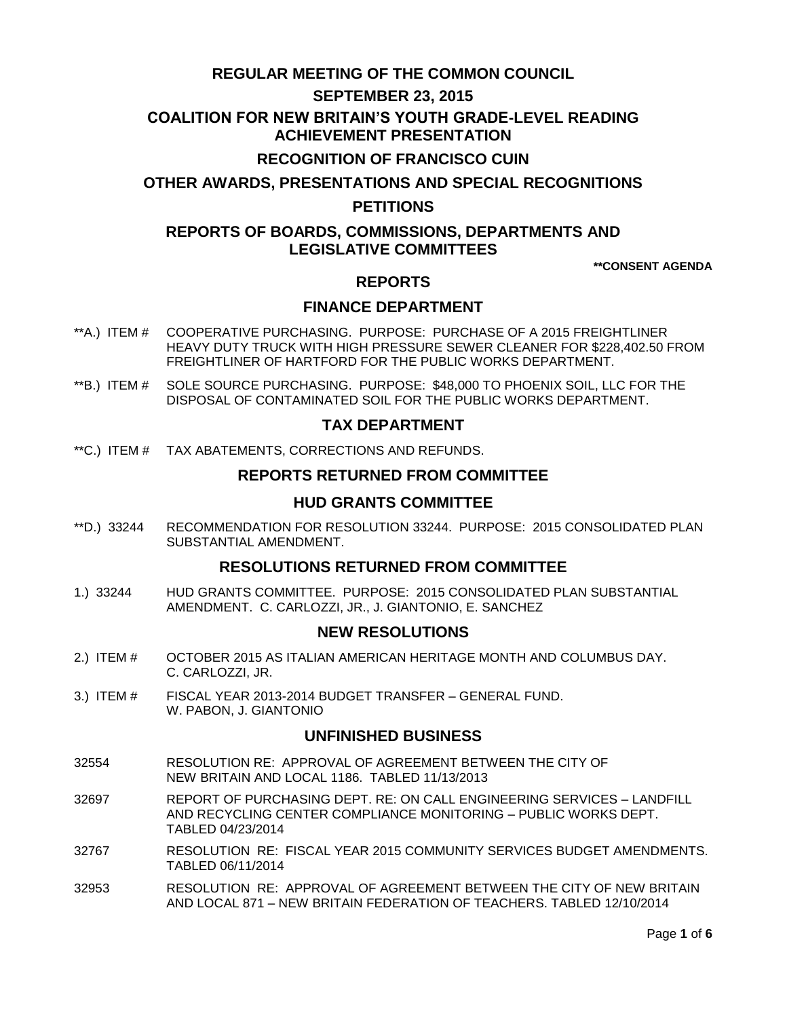# **REGULAR MEETING OF THE COMMON COUNCIL**

## **SEPTEMBER 23, 2015**

### **COALITION FOR NEW BRITAIN'S YOUTH GRADE-LEVEL READING ACHIEVEMENT PRESENTATION**

# **RECOGNITION OF FRANCISCO CUIN**

**OTHER AWARDS, PRESENTATIONS AND SPECIAL RECOGNITIONS**

## **PETITIONS**

# **REPORTS OF BOARDS, COMMISSIONS, DEPARTMENTS AND LEGISLATIVE COMMITTEES**

**\*\*CONSENT AGENDA**

## **REPORTS**

# **FINANCE DEPARTMENT**

- \*\*A.) ITEM # [COOPERATIVE PURCHASING. PURPOSE: PURCHASE OF A 2015 FREIGHTLINER](#page-1-0)  [HEAVY DUTY TRUCK WITH HIGH PRESSURE SEWER CLEANER FOR \\$228,402.50 FROM](#page-1-0)  [FREIGHTLINER OF HARTFORD FOR THE PUBLIC WORKS DEPARTMENT.](#page-1-0)
- \*\*B.) ITEM # SOLE SOURCE [PURCHASING. PURPOSE: \\$48,000 TO PHOENIX SOIL, LLC FOR THE](#page-2-0)  [DISPOSAL OF CONTAMINATED SOIL FOR THE PUBLIC WORKS DEPARTMENT.](#page-2-0)

### **TAX DEPARTMENT**

\*\*C.) ITEM # [TAX ABATEMENTS, CORRECTIONS AND REFUNDS.](#page-2-1)

### **REPORTS RETURNED FROM COMMITTEE**

## **HUD GRANTS COMMITTEE**

\*\*D.) 33244 [RECOMMENDATION FOR RESOLUTION 33244. PURPOSE: 2015 CONSOLIDATED PLAN](#page-3-0)  [SUBSTANTIAL AMENDMENT.](#page-3-0)

## **RESOLUTIONS RETURNED FROM COMMITTEE**

1.) 33244 [HUD GRANTS COMMITTEE. PURPOSE: 2015 CONSOLIDATED PLAN SUBSTANTIAL](#page-3-1)  [AMENDMENT. C. CARLOZZI, JR., J. GIANTONIO, E. SANCHEZ](#page-3-1)

### **NEW RESOLUTIONS**

- 2.) ITEM # [OCTOBER 2015 AS ITALIAN AMERICAN HERITAGE MONTH AND COLUMBUS DAY.](#page-4-0)  [C. CARLOZZI, JR.](#page-4-0)
- 3.) ITEM # [FISCAL YEAR 2013-2014 BUDGET TRANSFER –](#page-4-1) GENERAL FUND. [W. PABON, J. GIANTONIO](#page-4-1)

#### **UNFINISHED BUSINESS**

- 32554 RESOLUTION RE: APPROVAL OF AGREEMENT BETWEEN THE CITY OF NEW BRITAIN AND LOCAL 1186. TABLED 11/13/2013
- 32697 REPORT OF PURCHASING DEPT. RE: ON CALL ENGINEERING SERVICES LANDFILL AND RECYCLING CENTER COMPLIANCE MONITORING – PUBLIC WORKS DEPT. TABLED 04/23/2014
- 32767 RESOLUTION RE: FISCAL YEAR 2015 COMMUNITY SERVICES BUDGET AMENDMENTS. TABLED 06/11/2014
- 32953 RESOLUTION RE: APPROVAL OF AGREEMENT BETWEEN THE CITY OF NEW BRITAIN AND LOCAL 871 – NEW BRITAIN FEDERATION OF TEACHERS. TABLED 12/10/2014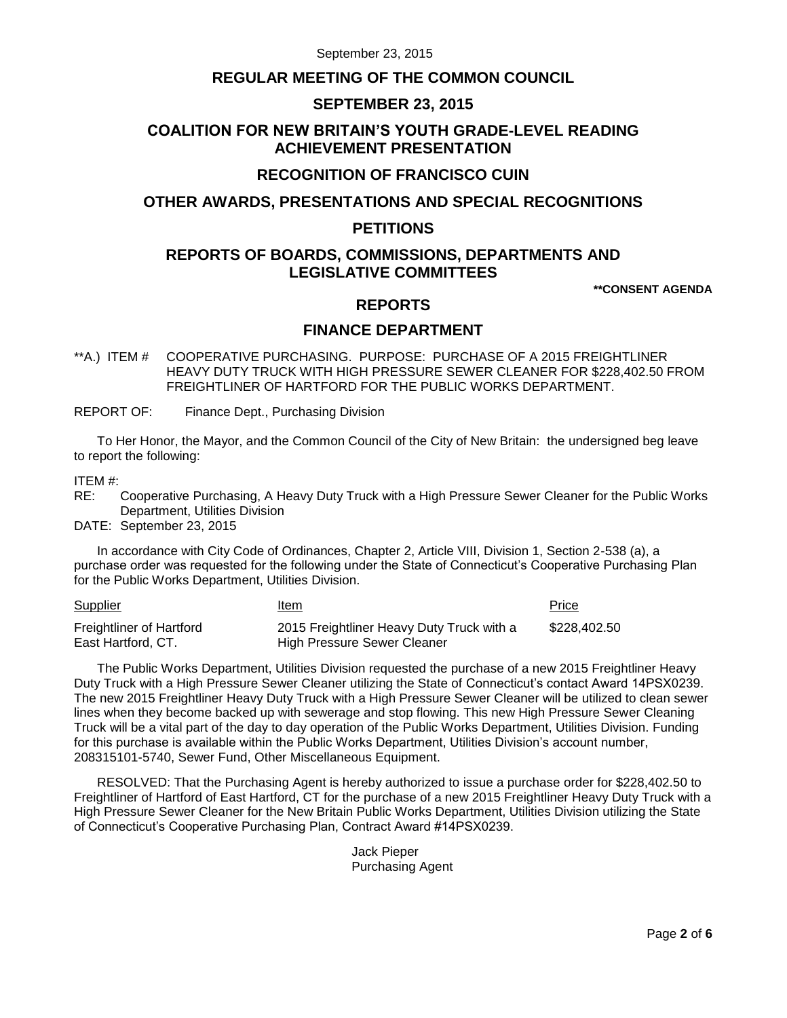September 23, 2015

## **REGULAR MEETING OF THE COMMON COUNCIL**

### **SEPTEMBER 23, 2015**

# **COALITION FOR NEW BRITAIN'S YOUTH GRADE-LEVEL READING ACHIEVEMENT PRESENTATION**

# **RECOGNITION OF FRANCISCO CUIN**

## **OTHER AWARDS, PRESENTATIONS AND SPECIAL RECOGNITIONS**

### **PETITIONS**

# **REPORTS OF BOARDS, COMMISSIONS, DEPARTMENTS AND LEGISLATIVE COMMITTEES**

**\*\*CONSENT AGENDA**

# **REPORTS**

### **FINANCE DEPARTMENT**

<span id="page-1-0"></span>\*\*A.) ITEM # COOPERATIVE PURCHASING. PURPOSE: PURCHASE OF A 2015 FREIGHTLINER HEAVY DUTY TRUCK WITH HIGH PRESSURE SEWER CLEANER FOR \$228,402.50 FROM FREIGHTLINER OF HARTFORD FOR THE PUBLIC WORKS DEPARTMENT.

REPORT OF: Finance Dept., Purchasing Division

To Her Honor, the Mayor, and the Common Council of the City of New Britain: the undersigned beg leave to report the following:

#### ITEM #:

RE: Cooperative Purchasing, A Heavy Duty Truck with a High Pressure Sewer Cleaner for the Public Works Department, Utilities Division

DATE: September 23, 2015

In accordance with City Code of Ordinances, Chapter 2, Article VIII, Division 1, Section 2-538 (a), a purchase order was requested for the following under the State of Connecticut's Cooperative Purchasing Plan for the Public Works Department, Utilities Division.

| <b>Supplier</b>          | Item                                      | Price        |
|--------------------------|-------------------------------------------|--------------|
| Freightliner of Hartford | 2015 Freightliner Heavy Duty Truck with a | \$228.402.50 |
| East Hartford, CT.       | High Pressure Sewer Cleaner               |              |

The Public Works Department, Utilities Division requested the purchase of a new 2015 Freightliner Heavy Duty Truck with a High Pressure Sewer Cleaner utilizing the State of Connecticut's contact Award 14PSX0239. The new 2015 Freightliner Heavy Duty Truck with a High Pressure Sewer Cleaner will be utilized to clean sewer lines when they become backed up with sewerage and stop flowing. This new High Pressure Sewer Cleaning Truck will be a vital part of the day to day operation of the Public Works Department, Utilities Division. Funding for this purchase is available within the Public Works Department, Utilities Division's account number, 208315101-5740, Sewer Fund, Other Miscellaneous Equipment.

RESOLVED: That the Purchasing Agent is hereby authorized to issue a purchase order for \$228,402.50 to Freightliner of Hartford of East Hartford, CT for the purchase of a new 2015 Freightliner Heavy Duty Truck with a High Pressure Sewer Cleaner for the New Britain Public Works Department, Utilities Division utilizing the State of Connecticut's Cooperative Purchasing Plan, Contract Award #14PSX0239.

> Jack Pieper Purchasing Agent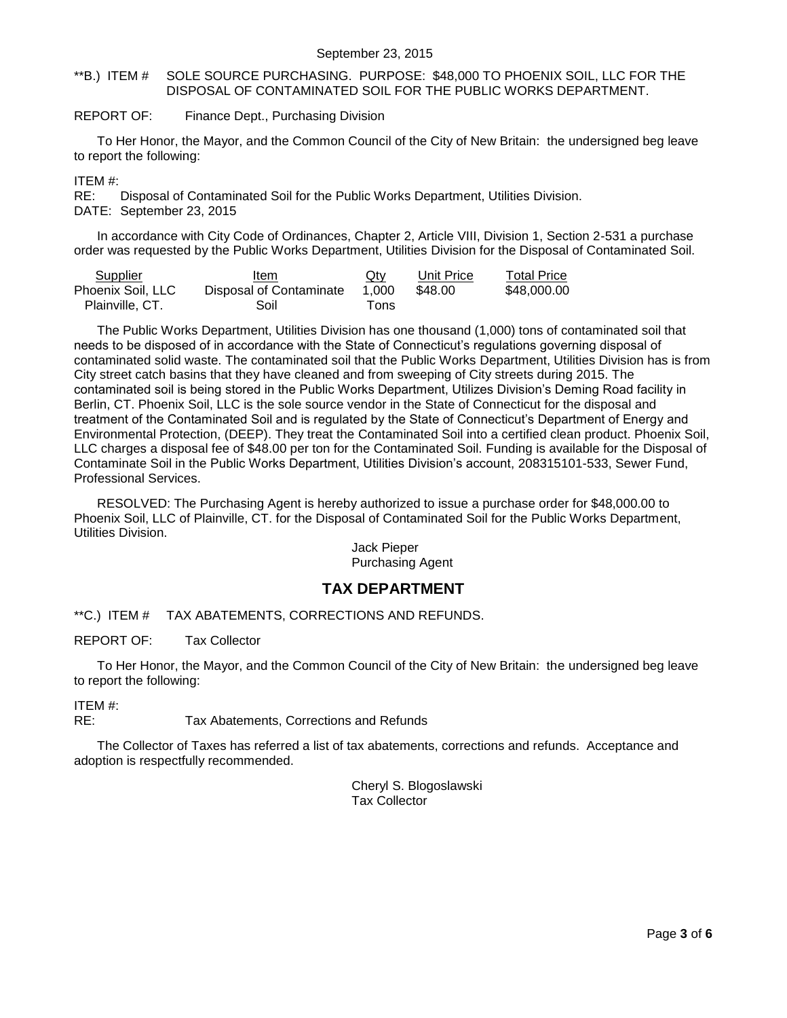#### September 23, 2015

#### <span id="page-2-0"></span>\*\*B.) ITEM # SOLE SOURCE PURCHASING. PURPOSE: \$48,000 TO PHOENIX SOIL, LLC FOR THE DISPOSAL OF CONTAMINATED SOIL FOR THE PUBLIC WORKS DEPARTMENT.

#### REPORT OF: Finance Dept., Purchasing Division

To Her Honor, the Mayor, and the Common Council of the City of New Britain: the undersigned beg leave to report the following:

#### ITEM #:

RE: Disposal of Contaminated Soil for the Public Works Department, Utilities Division. DATE: September 23, 2015

In accordance with City Code of Ordinances, Chapter 2, Article VIII, Division 1, Section 2-531 a purchase order was requested by the Public Works Department, Utilities Division for the Disposal of Contaminated Soil.

| Supplier          | Item                    | $Q$ ty | Unit Price | <b>Total Price</b> |
|-------------------|-------------------------|--------|------------|--------------------|
| Phoenix Soil, LLC | Disposal of Contaminate | 1.000  | \$48.00    | \$48,000.00        |
| Plainville, CT.   | Soil                    | Tons   |            |                    |

The Public Works Department, Utilities Division has one thousand (1,000) tons of contaminated soil that needs to be disposed of in accordance with the State of Connecticut's regulations governing disposal of contaminated solid waste. The contaminated soil that the Public Works Department, Utilities Division has is from City street catch basins that they have cleaned and from sweeping of City streets during 2015. The contaminated soil is being stored in the Public Works Department, Utilizes Division's Deming Road facility in Berlin, CT. Phoenix Soil, LLC is the sole source vendor in the State of Connecticut for the disposal and treatment of the Contaminated Soil and is regulated by the State of Connecticut's Department of Energy and Environmental Protection, (DEEP). They treat the Contaminated Soil into a certified clean product. Phoenix Soil, LLC charges a disposal fee of \$48.00 per ton for the Contaminated Soil. Funding is available for the Disposal of Contaminate Soil in the Public Works Department, Utilities Division's account, 208315101-533, Sewer Fund, Professional Services.

RESOLVED: The Purchasing Agent is hereby authorized to issue a purchase order for \$48,000.00 to Phoenix Soil, LLC of Plainville, CT. for the Disposal of Contaminated Soil for the Public Works Department, Utilities Division.

#### Jack Pieper Purchasing Agent

### **TAX DEPARTMENT**

<span id="page-2-1"></span>\*\*C.) ITEM # TAX ABATEMENTS, CORRECTIONS AND REFUNDS.

REPORT OF: Tax Collector

To Her Honor, the Mayor, and the Common Council of the City of New Britain: the undersigned beg leave to report the following:

ITEM #:

RE: Tax Abatements, Corrections and Refunds

The Collector of Taxes has referred a list of tax abatements, corrections and refunds. Acceptance and adoption is respectfully recommended.

> Cheryl S. Blogoslawski Tax Collector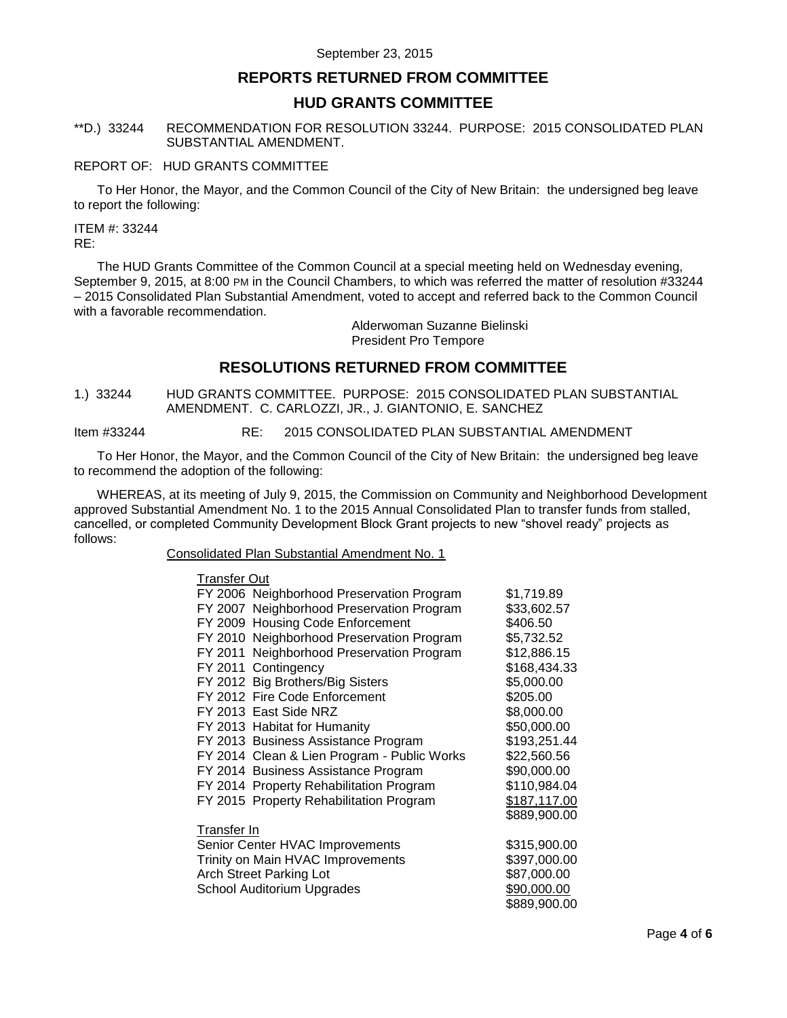## **REPORTS RETURNED FROM COMMITTEE**

### **HUD GRANTS COMMITTEE**

#### <span id="page-3-0"></span>\*\*D.) 33244 RECOMMENDATION FOR RESOLUTION 33244. PURPOSE: 2015 CONSOLIDATED PLAN SUBSTANTIAL AMENDMENT.

#### REPORT OF: HUD GRANTS COMMITTEE

To Her Honor, the Mayor, and the Common Council of the City of New Britain: the undersigned beg leave to report the following:

ITEM #: 33244 RE:

The HUD Grants Committee of the Common Council at a special meeting held on Wednesday evening, September 9, 2015, at 8:00 PM in the Council Chambers, to which was referred the matter of resolution #33244 – 2015 Consolidated Plan Substantial Amendment, voted to accept and referred back to the Common Council with a favorable recommendation.

> Alderwoman Suzanne Bielinski President Pro Tempore

## **RESOLUTIONS RETURNED FROM COMMITTEE**

<span id="page-3-1"></span>1.) 33244 HUD GRANTS COMMITTEE. PURPOSE: 2015 CONSOLIDATED PLAN SUBSTANTIAL AMENDMENT. C. CARLOZZI, JR., J. GIANTONIO, E. SANCHEZ

Item #33244 RE: 2015 CONSOLIDATED PLAN SUBSTANTIAL AMENDMENT

To Her Honor, the Mayor, and the Common Council of the City of New Britain: the undersigned beg leave to recommend the adoption of the following:

WHEREAS, at its meeting of July 9, 2015, the Commission on Community and Neighborhood Development approved Substantial Amendment No. 1 to the 2015 Annual Consolidated Plan to transfer funds from stalled, cancelled, or completed Community Development Block Grant projects to new "shovel ready" projects as follows:

Consolidated Plan Substantial Amendment No. 1

| <b>Transfer Out</b>            |                                             |              |
|--------------------------------|---------------------------------------------|--------------|
|                                | FY 2006 Neighborhood Preservation Program   | \$1,719.89   |
|                                | FY 2007 Neighborhood Preservation Program   | \$33,602.57  |
|                                | FY 2009 Housing Code Enforcement            | \$406.50     |
|                                | FY 2010 Neighborhood Preservation Program   | \$5,732.52   |
|                                | FY 2011 Neighborhood Preservation Program   | \$12,886.15  |
|                                | FY 2011 Contingency                         | \$168,434.33 |
|                                | FY 2012 Big Brothers/Big Sisters            | \$5,000.00   |
|                                | FY 2012 Fire Code Enforcement               | \$205.00     |
|                                | FY 2013 East Side NRZ                       | \$8,000.00   |
|                                | FY 2013 Habitat for Humanity                | \$50,000.00  |
|                                | FY 2013 Business Assistance Program         | \$193,251.44 |
|                                | FY 2014 Clean & Lien Program - Public Works | \$22,560.56  |
|                                | FY 2014 Business Assistance Program         | \$90,000.00  |
|                                | FY 2014 Property Rehabilitation Program     | \$110,984.04 |
|                                | FY 2015 Property Rehabilitation Program     | \$187,117.00 |
|                                |                                             | \$889,900.00 |
| Transfer In                    |                                             |              |
|                                | Senior Center HVAC Improvements             | \$315,900.00 |
|                                | Trinity on Main HVAC Improvements           | \$397,000.00 |
| <b>Arch Street Parking Lot</b> |                                             | \$87,000.00  |
|                                | School Auditorium Upgrades                  | \$90,000.00  |
|                                |                                             | \$889.900.00 |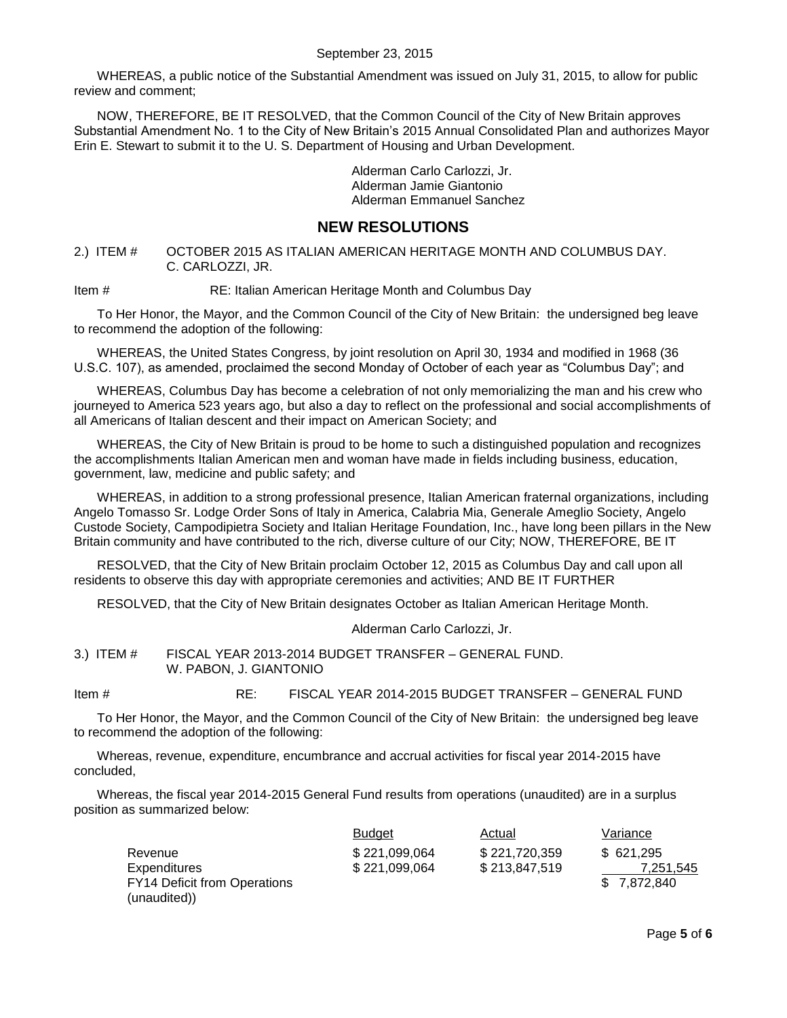#### September 23, 2015

WHEREAS, a public notice of the Substantial Amendment was issued on July 31, 2015, to allow for public review and comment;

NOW, THEREFORE, BE IT RESOLVED, that the Common Council of the City of New Britain approves Substantial Amendment No. 1 to the City of New Britain's 2015 Annual Consolidated Plan and authorizes Mayor Erin E. Stewart to submit it to the U. S. Department of Housing and Urban Development.

> Alderman Carlo Carlozzi, Jr. Alderman Jamie Giantonio Alderman Emmanuel Sanchez

### **NEW RESOLUTIONS**

<span id="page-4-0"></span>2.) ITEM # OCTOBER 2015 AS ITALIAN AMERICAN HERITAGE MONTH AND COLUMBUS DAY. C. CARLOZZI, JR.

Item # RE: Italian American Heritage Month and Columbus Day

To Her Honor, the Mayor, and the Common Council of the City of New Britain: the undersigned beg leave to recommend the adoption of the following:

WHEREAS, the United States Congress, by joint resolution on April 30, 1934 and modified in 1968 (36 U.S.C. 107), as amended, proclaimed the second Monday of October of each year as "Columbus Day"; and

WHEREAS, Columbus Day has become a celebration of not only memorializing the man and his crew who journeyed to America 523 years ago, but also a day to reflect on the professional and social accomplishments of all Americans of Italian descent and their impact on American Society; and

WHEREAS, the City of New Britain is proud to be home to such a distinguished population and recognizes the accomplishments Italian American men and woman have made in fields including business, education, government, law, medicine and public safety; and

WHEREAS, in addition to a strong professional presence, Italian American fraternal organizations, including Angelo Tomasso Sr. Lodge Order Sons of Italy in America, Calabria Mia, Generale Ameglio Society, Angelo Custode Society, Campodipietra Society and Italian Heritage Foundation, Inc., have long been pillars in the New Britain community and have contributed to the rich, diverse culture of our City; NOW, THEREFORE, BE IT

RESOLVED, that the City of New Britain proclaim October 12, 2015 as Columbus Day and call upon all residents to observe this day with appropriate ceremonies and activities; AND BE IT FURTHER

RESOLVED, that the City of New Britain designates October as Italian American Heritage Month.

Alderman Carlo Carlozzi, Jr.

<span id="page-4-1"></span>3.) ITEM # FISCAL YEAR 2013-2014 BUDGET TRANSFER – GENERAL FUND. W. PABON, J. GIANTONIO

Item # RE: FISCAL YEAR 2014-2015 BUDGET TRANSFER – GENERAL FUND

To Her Honor, the Mayor, and the Common Council of the City of New Britain: the undersigned beg leave to recommend the adoption of the following:

Whereas, revenue, expenditure, encumbrance and accrual activities for fiscal year 2014-2015 have concluded,

Whereas, the fiscal year 2014-2015 General Fund results from operations (unaudited) are in a surplus position as summarized below:

|                                     | <b>Budget</b> | Actual        | Variance    |
|-------------------------------------|---------------|---------------|-------------|
| Revenue                             | \$221,099,064 | \$221,720,359 | \$621.295   |
| <b>Expenditures</b>                 | \$221,099,064 | \$213,847,519 | 7.251.545   |
| <b>FY14 Deficit from Operations</b> |               |               | \$7.872.840 |
| (unaudited))                        |               |               |             |